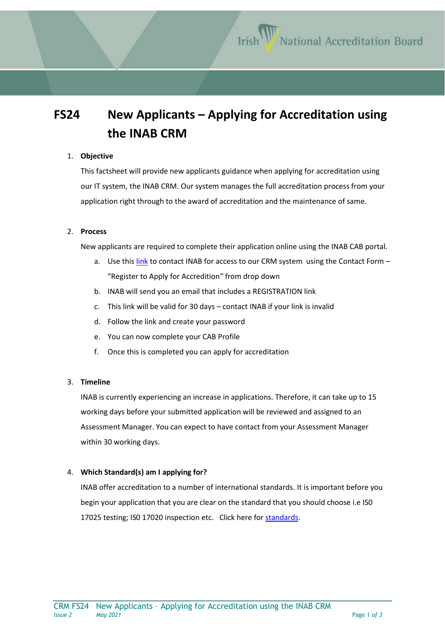# **FS24 New Applicants – Applying for Accreditation using the INAB CRM**

#### 1. **Objective**

This factsheet will provide new applicants guidance when applying for accreditation using our IT system, the INAB CRM. Our system manages the full accreditation process from your application right through to the award of accreditation and the maintenance of same.

#### 2. **Process**

New applicants are required to complete their application online using the INAB CAB portal.

- a. Use this [link](https://www.inab.ie/contact-us/make-an-enquiry/) to contact INAB for access to our CRM system using the Contact Form -"Register to Apply for Accredition*"* from drop down
- b. INAB will send you an email that includes a REGISTRATION link
- c. This link will be valid for 30 days contact INAB if your link is invalid
- d. Follow the link and create your password
- e. You can now complete your CAB Profile
- f. Once this is completed you can apply for accreditation

# 3. **Timeline**

INAB is currently experiencing an increase in applications. Therefore, it can take up to 15 working days before your submitted application will be reviewed and assigned to an Assessment Manager. You can expect to have contact from your Assessment Manager within 30 working days.

# 4. **Which Standard(s) am I applying for?**

INAB offer accreditation to a number of international standards. It is important before you begin your application that you are clear on the standard that you should choose i.e IS0 17025 testing; IS0 17020 inspection etc. Click here for [standards.](https://www.inab.ie/inab-services/)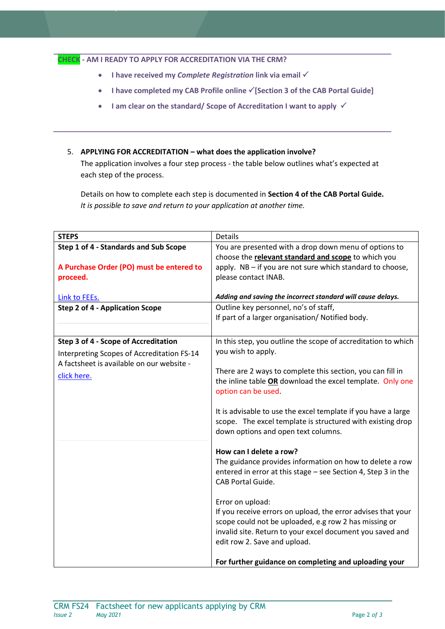#### **CHECK - AM I READY TO APPLY FOR ACCREDITATION VIA THE CRM?**

- **I have received my** *Complete Registration* **link via email**
- **•** I have completed my CAB Profile online  $\checkmark$  [Section 3 of the CAB Portal Guide]
- I am clear on the standard/ Scope of Accreditation I want to apply  $\checkmark$

#### 5. **APPLYING FOR ACCREDITATION – what does the application involve?**

The application involves a four step process - the table below outlines what's expected at each step of the process.

Details on how to complete each step is documented in **Section 4 of the CAB Portal Guide.** *It is possible to save and return to your application at another time.*

| <b>STEPS</b>                               | <b>Details</b>                                                                                    |
|--------------------------------------------|---------------------------------------------------------------------------------------------------|
| Step 1 of 4 - Standards and Sub Scope      | You are presented with a drop down menu of options to                                             |
|                                            | choose the relevant standard and scope to which you                                               |
| A Purchase Order (PO) must be entered to   | apply. NB - if you are not sure which standard to choose,                                         |
| proceed.                                   | please contact INAB.                                                                              |
|                                            |                                                                                                   |
| Link to FEEs.                              | Adding and saving the incorrect standard will cause delays.                                       |
| <b>Step 2 of 4 - Application Scope</b>     | Outline key personnel, no's of staff,                                                             |
|                                            | If part of a larger organisation/ Notified body.                                                  |
|                                            |                                                                                                   |
| Step 3 of 4 - Scope of Accreditation       | In this step, you outline the scope of accreditation to which                                     |
| Interpreting Scopes of Accreditation FS-14 | you wish to apply.                                                                                |
| A factsheet is available on our website -  |                                                                                                   |
| click here.                                | There are 2 ways to complete this section, you can fill in                                        |
|                                            | the inline table OR download the excel template. Only one                                         |
|                                            | option can be used.                                                                               |
|                                            |                                                                                                   |
|                                            | It is advisable to use the excel template if you have a large                                     |
|                                            | scope. The excel template is structured with existing drop<br>down options and open text columns. |
|                                            |                                                                                                   |
|                                            | How can I delete a row?                                                                           |
|                                            | The guidance provides information on how to delete a row                                          |
|                                            | entered in error at this stage - see Section 4, Step 3 in the                                     |
|                                            | <b>CAB Portal Guide.</b>                                                                          |
|                                            |                                                                                                   |
|                                            | Error on upload:                                                                                  |
|                                            | If you receive errors on upload, the error advises that your                                      |
|                                            | scope could not be uploaded, e.g row 2 has missing or                                             |
|                                            | invalid site. Return to your excel document you saved and                                         |
|                                            | edit row 2. Save and upload.                                                                      |
|                                            |                                                                                                   |
|                                            | For further guidance on completing and uploading your                                             |